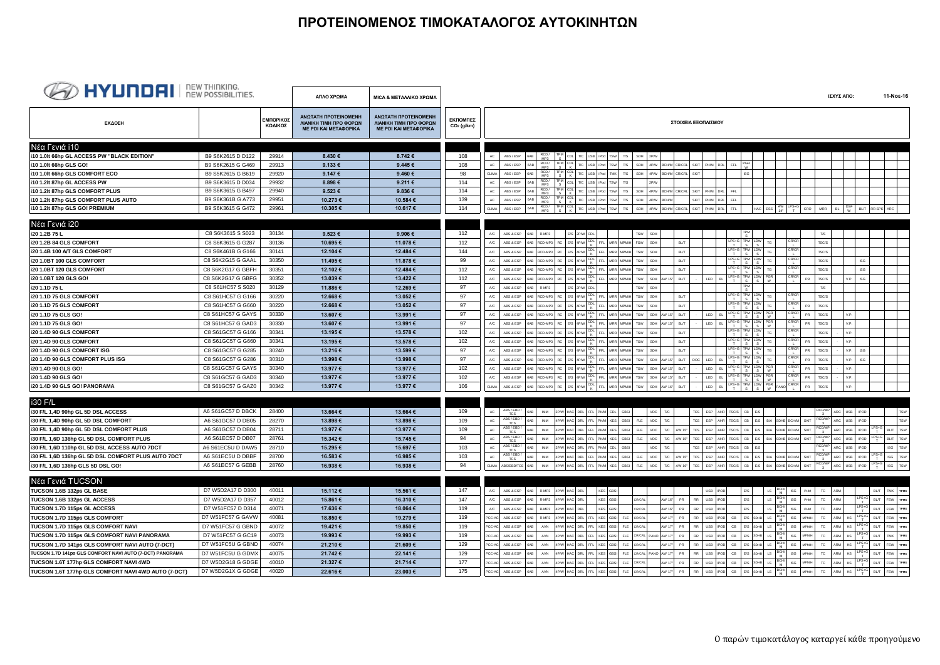## **ΠΡΟΤΕΙΝΟΜΕΝΟΣ ΤΙΜΟΚΑΤΑΛΟΓΟΣ ΑΥΤΟΚΙΝΗΤΩΝ**

| <b>BED HYUNDEL</b> NEW THINKING.                                          |                   |                      | ΑΠΛΟ ΧΡΩΜΑ                                                                     | ΜΙΣΑ & ΜΕΤΑΛΛΙΚΟ ΧΡΩΜΑ                                                                |                          |                                                                                                                                                                                                                                                                                                                                            | ΙΣΧΥΣ ΑΠΟ:                                           | 11-Νοε-16                                         |  |
|---------------------------------------------------------------------------|-------------------|----------------------|--------------------------------------------------------------------------------|---------------------------------------------------------------------------------------|--------------------------|--------------------------------------------------------------------------------------------------------------------------------------------------------------------------------------------------------------------------------------------------------------------------------------------------------------------------------------------|------------------------------------------------------|---------------------------------------------------|--|
| ΕΚΔΟΣΗ                                                                    |                   | ΕΜΠΟΡΙΚΟΣ<br>ΚΩΔΙΚΟΣ | ΑΝΩΤΑΤΗ ΠΡΟΤΕΙΝΟΜΕΝΗ<br>ΛΙΑΝΙΚΗ ΤΙΜΗ ΠΡΟ ΦΟΡΩΝ<br><b>ME PDI KAI METAΦOPIKA</b> | <b>ANOTATH ΠΡΟΤΕΙΝΟΜΕΝΗ</b><br>ΛΙΑΝΙΚΗ ΤΙΜΗ ΠΡΟ ΦΟΡΩΝ<br><b>ME PDI KAI METAΦOPIKA</b> | ΕΚΠΟΜΠΕΣ<br>$CO2$ (g/km) | ΣΤΟΙΧΕΙΑ ΕΞΟΠΛΙΣΜΟΥ                                                                                                                                                                                                                                                                                                                        |                                                      |                                                   |  |
| Νέα Γενιά i10                                                             |                   |                      |                                                                                |                                                                                       |                          |                                                                                                                                                                                                                                                                                                                                            |                                                      |                                                   |  |
| i10 1.0lt 66hp GL ACCESS PW "BLACK EDITION"                               | B9 S6K2615 D D122 | 29914                | 8.430€                                                                         | 8.742€                                                                                | 108                      | ABS / ESP<br>$\frac{PM}{S}$ CDL T/C USB iPod TSW<br>T/S<br>SDH<br>6AB<br>AC                                                                                                                                                                                                                                                                |                                                      |                                                   |  |
| 110 1.0lt 66hp GLS GO!                                                    | B9 S6K2615 G G469 | 29913                | 9.133€                                                                         | 9.445€                                                                                | 108                      | RCD/<br>$\begin{array}{c c c c c} \n\text{FPM} & \text{CDL} & \text{TC} & \text{USB} \\ \n\text{S} & \text{K} & \text{TC} & \text{USB} \n\end{array}$<br>T/S<br>AC<br>iPod<br>SDH<br><b>SKIT</b><br>ABS / ESP<br><b>TSW</b><br>4P/W BCHM CR/CRL<br>PH/M<br>DRI<br><b>FFI</b>                                                               |                                                      |                                                   |  |
| i10 1.0lt 66hp GLS COMFORT ECO                                            | B9 S5K2615 G B619 | 29920                | 9.147€                                                                         | 9.460€                                                                                | 98                       | RCD /<br>MP3<br>$\begin{array}{ c c c c c c c c c } \hline \text{TPM} & \text{CDL} & \text{TAC} & \text{USB} & \text{IPod} & \text{TMK} \\\hline \end{array}$<br>T/S<br>SDH<br>BCHM CR/CRL<br><b>SKIT</b><br>CLIMA<br>ABS / ESP<br>4P/W                                                                                                    |                                                      |                                                   |  |
| i10 1.2lt 87hp GL ACCESS PW                                               | B9 S6K3615 D D034 | 29932                | 8.898€                                                                         | 9.211€                                                                                | 114                      | RCD /<br>MP3<br><b>FPM</b> CDL T/C USB iPod TSW<br>T/S<br>ABS / ESP<br>AC                                                                                                                                                                                                                                                                  |                                                      |                                                   |  |
| i10 1.2lt 87hp GLS COMFORT PLUS                                           | B9 S6K3615 G B497 | 29940                | 9.523€                                                                         | 9.836€                                                                                | 114                      | T/S<br>SKIT PHM DRL<br>AC<br>ABS / ESP<br>SDH<br>4P/W BCHM CR/CRL<br>FFI                                                                                                                                                                                                                                                                   |                                                      |                                                   |  |
| i10 1.2lt 87hp GLS COMFORT PLUS AUTO                                      | B9 S6K361B G A773 | 29951                | 10.273€                                                                        | 10.584€                                                                               | 139                      | RCD /<br>MP3<br>$\begin{array}{c c c c c c} \mathsf{IPM} & \mathsf{CDL} & \mathsf{TC} & \mathsf{USB} & \mathsf{IPod} & \mathsf{TSW} \end{array}$<br>AC<br>$_{\rm 6AB}$<br>T/S<br>SDH<br>4P/W<br><b>BCHM</b><br>SKIT PH/M<br>DRL<br>FFI<br>ABS / ESP                                                                                        |                                                      |                                                   |  |
| i10 1.2lt 87hp GLS GO! PREMIUM                                            | B9 S6K3615 G G472 | 29961                | 10.305€                                                                        | 10.617€                                                                               | 114                      | HAC ESS $\begin{bmatrix} AW & LPS+G \\ 14^* & T \end{bmatrix}$ CRO<br>RCD/<br>MP3<br>$\begin{array}{c c c c c c} \mathsf{IPM} & \mathsf{CDL} & \mathsf{TC} & \mathsf{USB} & \mathsf{IPod} & \mathsf{TSW} \end{array}$<br>$_{\rm 6AB}$<br>T/S<br>SDH<br>4P/W BCH/M CR/CRL<br><b>SKIT</b><br>DRL<br>FFL<br>CLIMA<br>ABS / ESP<br>PH/M<br>MRR | $\frac{\text{DSF}}{\text{W}}$ BL/T RR SPK ARC<br>BL. |                                                   |  |
|                                                                           |                   |                      |                                                                                |                                                                                       |                          |                                                                                                                                                                                                                                                                                                                                            |                                                      |                                                   |  |
| Νέα Γενιά i20                                                             |                   |                      |                                                                                |                                                                                       |                          |                                                                                                                                                                                                                                                                                                                                            |                                                      |                                                   |  |
| i20 1.2B 75 L                                                             | C8 S6K3615 S S023 | 30134                | 9.523€                                                                         | 9.906€                                                                                | 112                      | ABS & ESP<br>6AB<br>R-MP3<br>E/S 2P/W CDL<br>TSW<br>A/C<br>SDH<br>T/S                                                                                                                                                                                                                                                                      |                                                      |                                                   |  |
| i20 1.2B 84 GLS COMFORT                                                   | C8 S6K3615 G G287 | 30136                | 10.695€                                                                        | 11.078 €                                                                              | 112                      | 6AB RCD-MP3 RC E/S 4P/W CDL<br>$LPS+G$<br><b>CR/CR</b><br>FFL MRR<br>MPM/H FSW<br>TSC/S<br>A/C<br>ABS & ESP<br>SDH<br><b>BL/T</b><br>TG                                                                                                                                                                                                    |                                                      |                                                   |  |
| i20 1.4B 100 A/T GLS COMFORT                                              | C8 S6K461B G G166 | 30141                | 12.104 €                                                                       | 12.484 €                                                                              | 144                      | RCD-MP3 RC E/S 4P/W CDL<br>$LPS+C$<br>PM LDW<br>CR/CR<br>FFL MRR MPMH TSW<br>RI/7<br>ABS & ESP<br>SDH<br><b>TSC/S</b><br>A/C                                                                                                                                                                                                               |                                                      |                                                   |  |
| <b>i20 1.0BT 100 GLS COMFORT</b>                                          | C8 S6K2G15 G GAAL | 30350                | 11.495€                                                                        | 11.878€                                                                               | 99                       | RC E/S 4P/W CDL FFL MRR<br>CR/CR<br>$LPS+G$<br><b>PM</b> LDW<br>ABS & ESP<br><b>BL/T</b><br>A/C<br>RCD-MP3<br><b>TSW</b><br>TSC/S                                                                                                                                                                                                          | $\textsf{ISG}$                                       |                                                   |  |
| i20 1.0BT 120 GLS COMFORT                                                 | C8 S6K2G17 G GBFH | 30351                | 12.102 €                                                                       | 12.484 €                                                                              | 112                      | RCD-MP3 RC E/S 4P/W CDL FFL MRR MPMH<br>$LPS+G$<br>CR/CR<br>M LDW<br>$A/C$<br>ABS & ESP<br>TSW<br><b>BL/T</b><br>TSC/S<br>SDH                                                                                                                                                                                                              | $\textsf{ISG}$                                       |                                                   |  |
| i20 1.0BT 120 GLS GO!                                                     | C8 S6K2G17 G GBFG | 30352                | 13.039€                                                                        | 13.422€                                                                               | 112                      | RCD-MP3 RC E/S 4P/W CDL<br>$LPS+C$<br>PM LDW PGR<br><b>CR/CR</b><br>BL/T<br>LED<br>$_{\rm BL}$<br>$A/C$<br>ABS & ESP<br>FFL MRR<br><b>MPM/H</b><br>TSW<br>SDH AW 15"<br><b>PR</b><br>TSC/S                                                                                                                                                 | V.P.<br>$\textsf{ISG}\xspace$                        |                                                   |  |
| i20 1.1D 75 L                                                             | C8 S61HC57 S S020 | 30129                | 11.886€                                                                        | 12.269€                                                                               | 97                       | E/S 2P/W CDL<br>ABS & ESP<br>T/S<br>A/C<br>R-MP3                                                                                                                                                                                                                                                                                           |                                                      |                                                   |  |
| i20 1.1D 75 GLS COMFORT                                                   | C8 S61HC57 G G166 | 30220                | 12.668€                                                                        | 13.052€                                                                               | 97                       | RCD-MP3 RC E/S 4P/W CDL FFL MRR<br>$LPS+G$<br>TSW<br>:R/CR<br>TSC/S<br>A/C<br>ABS & ESP<br><b>BL/T</b><br>MPM/H<br>SDH                                                                                                                                                                                                                     |                                                      |                                                   |  |
| i20 1.1D 75 GLS COMFORT                                                   | C8 S61HC57 G G660 | 30220                | 12.668€                                                                        | 13.052€                                                                               | 97                       | RC E/S 4P/W CDL FFL MRR<br>$LPS+G$<br>M LDW<br>CR/CR<br><b>MPM/H</b><br>TSW<br>BL/T<br>PR<br>TSC/S<br>A/C<br>ABS & ESP<br>RCD-MP3<br>SDH<br>TG                                                                                                                                                                                             |                                                      |                                                   |  |
| i20 1.1D 75 GLS GO!                                                       | C8 S61HC57 G GAYS | 30330                | 13.607€                                                                        | 13.991€                                                                               | 97                       | $RC$ E/S $4P/W$ $\frac{CDL}{K}$<br>$LPS+C$<br>M LDW PGF<br>CR/CR<br>FFL MRR<br>BL/T<br>LED<br>ABS & ESP<br><b>PR</b><br>TSC/S<br>A/C<br>RCD-MP3<br><b>MPM/H</b><br>TSW<br>SDH<br>AW 151                                                                                                                                                    | V.P.                                                 |                                                   |  |
| i20 1.1D 75 GLS GO!                                                       | C8 S61HC57 G GAD3 | 30330                | 13.607€                                                                        | 13.991€                                                                               | 97                       | $\frac{CDL}{K}$<br>$LPS+G$<br>PM LDW PGR<br>CR/CR<br>RC E/S 4P/W<br>FFL<br>TSW<br><b>BL/T</b><br>LED<br>BL.<br>A/C<br>ABS & ESP<br>RCD-MP3<br>MRR<br><b>IPM/H</b><br>SDH<br>PR<br>TSC/S                                                                                                                                                    | V.P.                                                 |                                                   |  |
| i20 1.4D 90 GLS COMFORT                                                   | C8 S61GC57 G G166 | 30341                | 13.195€                                                                        | 13.578€                                                                               | 102                      | $RC$ E/S $4P/W$ $\frac{CDL}{K}$<br>$LPS+G$<br>PM LDW<br><b>CR/CR</b><br>A/C<br>FFL MRR<br><b>MPM/H</b><br>TSW<br>BL/T<br>TSC/S<br>ABS & ESP<br>RCD-MP3<br>SDH                                                                                                                                                                              | V.P.                                                 |                                                   |  |
| i20 1.4D 90 GLS COMFORT                                                   | C8 S61GC57 G G660 | 30341                | 13.195€                                                                        | 13.578€                                                                               | 102                      | RCD-MP3 RC E/S 4P/W CDL FFL MRR<br>$LPS+G$<br>M LDW<br>CR/CR<br><b>MPM/H</b><br>TSW<br>BL/T<br>TSC/S<br>A/C<br>ABS & ESP<br>SDH<br><b>PR</b>                                                                                                                                                                                               | V.P.                                                 |                                                   |  |
| i20 1.4D 90 GLS COMFORT ISG                                               | C8 S61GC57 G G285 | 30240                | 13.216€                                                                        | 13.599€                                                                               | 97                       | $RCD-MP3$ $RC$ $E/S$ $4P/W$ $K$<br>LDW<br>CR/CR<br><b>BL/T</b><br>PR<br>$A/C$<br>ABS & ESP<br>FFL MRR<br>TSW<br>TSC/S<br><b>MPM/H</b><br>SDH                                                                                                                                                                                               | V.P.<br><b>ISG</b>                                   |                                                   |  |
| i20 1.4D 90 GLS COMFORT PLUS ISG                                          | C8 S61GC57 G G286 | 30310                | 13.998€                                                                        | 13.998€                                                                               | 97                       | $\frac{CDL}{K}$<br>$LPS+C$<br>PM LDW<br>CR/CR<br>BL/T<br><b>LED</b><br>A/C<br>ABS & ESP<br>RCD-MP3<br><b>RC</b><br>E/S 4P/W<br>FFL<br><b>MRR</b><br><b>HIMPIN</b><br><b>TSW</b><br>SDH<br>DOC<br>DD.<br>TSC/S                                                                                                                              | V.P.<br>ISG                                          |                                                   |  |
| i20 1.4D 90 GLS GO!                                                       | C8 S61GC57 G GAYS | 30340                | 13.977 €                                                                       | 13.977 €                                                                              | 102                      | RCD-MP3 RC E/S 4P/W CDL FFL MRR MPMH<br>$LPS+G$<br>PM LDW<br>TSW<br>AW 15*<br>BL/T<br>LED<br>BL<br>A/C<br>ABS & ESP<br>SDH<br>PR.<br>TSC/S<br>6AB                                                                                                                                                                                          | V.P.                                                 |                                                   |  |
| i20 1.4D 90 GLS GO!                                                       | C8 S61GC57 G GAD3 | 30340                | 13.977 €                                                                       | 13.977 €                                                                              | 102                      | 6AB RCD-MP3 RC E/S 4P/W K<br>$LPS+C$<br><b>CR/CR</b><br>LED<br>$_{\rm BL}$<br>FFL MRR MPMH<br>TSW<br>SDH AW 15*<br>BL/T<br>${\sf PR}$<br>$A/C$<br>ABS & ESP<br>TSC/S                                                                                                                                                                       | V.P.                                                 |                                                   |  |
| 120 1.4D 90 GLS GO! PANORAMA                                              | C8 S61GC57 G GAZ0 | 30342                | 13.977 €                                                                       | 13.977 €                                                                              | 106                      | RC E/S 4P/W CDL FFL MRR MPM/H<br>$LPS+G$<br>TPM LDW PGR PANC<br>CR/CR<br>TSW<br>SDH<br>AW 16*<br>BL/T<br>LED<br>BL.<br>PR<br>TSC/S<br><b>CLIMA</b><br>ABS & ESP<br>6AB RCD-MP3                                                                                                                                                             | V.P.                                                 |                                                   |  |
| i30 F/L                                                                   |                   |                      |                                                                                |                                                                                       |                          |                                                                                                                                                                                                                                                                                                                                            |                                                      |                                                   |  |
|                                                                           | A6 S61GC57 D DBCK | 28400                | 13.664€                                                                        | 13.664€                                                                               | 109                      | ABS/EBD/<br>MM 2P/W HAC DRL FFL PHM CDL<br>AHR TSC/S CB E/S<br>AC<br><b>6AR</b><br>GRSL<br>T/C<br>TCS ESP<br>VDC.                                                                                                                                                                                                                          | ARC USB POD                                          | TSW                                               |  |
| i30 F/L 1,4D 90hp GL 5D DSL ACCESS<br>i30 F/L 1,4D 90hp GL 5D DSL COMFORT | A6 S61GC57 D DB05 | 28270                | 13.898€                                                                        | 13.898€                                                                               | 109                      | TCS<br>$\begin{array}{r} \texttt{ABS/EBD} \, / \\ \texttt{TCS} \end{array}$<br><b>RCD/MP</b><br>4P/W HAC DRL FFL PHM KES<br>$T/C$<br>TCS ESP<br>AHR TSC/S CB E/S B/A SDHB BCH/M<br>SKIT<br>AC<br>$\mathbb{M}\mathbb{M}$<br>GBSI<br>FLE<br>VDC                                                                                              | USB IPOD<br><b>ARC</b>                               | TSW                                               |  |
| i30 F/L 1,4D 90hp GL 5D DSL COMFORT PLUS                                  | A6 S61GC57 D DB04 | 28711                | 13.977 €                                                                       | 13.977 €                                                                              | 109                      | ABS/EBD/<br><b>CD/MP</b><br>$AC$<br>4P/W HAC DRL FFL PHM KES<br><b>GBSI</b><br>$T/C$<br>TCS ESP<br>AHR TSC/S CB E/S B/A SDHB BCH/M SKIT<br><b>IMM</b><br><b>FLE</b><br>$_{\rm VDC}$<br>AW 15"                                                                                                                                              | USB POD<br><b>IRC</b>                                | $\frac{\text{LPS} + \text{G}}{\text{T}}$ BL/T TSW |  |
| i30 F/L 1,6D 136hp GL 5D DSL COMFORT PLUS                                 | A6 S61EC57 D DB07 | 28761                | 15.342€                                                                        | 15.745€                                                                               | 94                       | <b>TCS</b><br>ABS/EBD/<br><b>RCD/MP</b><br>$T/C$<br><b>TCS</b><br>CB E/S<br><b>SKIT</b><br>AC<br><b>IMM</b><br>AC DRL<br>FFL<br>PH/M KES<br><b>GBSI</b><br><b>FLE</b><br>VDC<br>ESP<br>AHR<br>TSC/S<br>B/A SDHB BCH/M<br>AW 15"                                                                                                            | USB<br>IPOD<br><b>IRC</b>                            | $LPS+G$<br>TSW<br><b>BL/T</b>                     |  |
| i30 F/L 1,6D 110hp GL 5D DSL ACCESS AUTO 7DCT                             | A6 S61EC5U D DAW5 | 28710                | 15.295€                                                                        | 15.697€                                                                               | 103                      | <b>TCS</b><br>ABS / EBD /<br>AC<br>2P/W HAC DRL FFL PHM CDL<br>$T/C$<br>TCS ESP<br>AHR TSC/S CB E/S<br><b>IMM</b><br><b>GBSI</b><br><b>VDC</b>                                                                                                                                                                                             | ARC<br>USB IPOD                                      | TSW<br>ISG                                        |  |
| i30 F/L 1,6D 136hp GL 5D DSL COMFORT PLUS AUTO 7DCT                       | A6 S61EC5U D DBBF | 28700                | 16.583€                                                                        | 16.985€                                                                               | 103                      | <b>TCS</b><br>ABS / EBD /<br>RCD/MP<br>$AC$<br>4P/W HAC DRL FFL PHM KES<br>$\mathsf{T}/\mathsf{C}$ AW 15"<br>TCS ESP AHR TSC/S CB E/S B/A SDHB BCH/M SKIT<br><b>GBSI</b><br><b>FLE</b><br>$_{\rm VDC}$<br>BAB<br><b>IMM</b>                                                                                                                | USB POD<br>ARC                                       | ISG TSW<br>$LPS+G$                                |  |
| i30 F/L 1,6D 136hp GLS 5D DSL GO!                                         | A6 S61EC57 G GEBB | 28760                | 16.938€                                                                        | 16.938€                                                                               | 94                       | <b>RCD/MP</b><br>4P/W HAC DRL FFL PH/M KES<br><b>GBSI</b><br><b>FLE</b><br>VDC<br>T/C<br>AW 16*<br>TCS ESP<br>AHR TSC/S CB E/S B/A SDHB BCH/M SKIT<br>CLIMA ABS/EBD/TCS 6AB<br><b>IMM</b>                                                                                                                                                  | ${\sf ARC}$<br>USB POD                               | $LPS+G$<br>$\textsf{ISG}\xspace$<br>TSW           |  |
|                                                                           |                   |                      |                                                                                |                                                                                       |                          |                                                                                                                                                                                                                                                                                                                                            |                                                      |                                                   |  |
| Νέα Γενιά TUCSON                                                          |                   |                      |                                                                                |                                                                                       |                          |                                                                                                                                                                                                                                                                                                                                            |                                                      |                                                   |  |
| TUCSON 1.6B 132ps GL BASE                                                 | D7 W5D2A17 D D300 | 40011                | 15.112€                                                                        | 15.561€                                                                               | 147                      | KES GBSI<br>$LS$ BCH<br>ABS & ESP<br>GAB<br>R-MP3<br>4P/W HAC DRL<br><b>USB</b><br>POD<br>ISG<br>TC<br>A/C<br>PHM                                                                                                                                                                                                                          |                                                      | <b>TMK</b><br>TPM                                 |  |
| TUCSON 1.6B 132ps GL ACCESS                                               | D7 W5D2A17 D D357 | 40012                | 15.861€                                                                        | 16.310€                                                                               | 147                      | $LS$ BCH<br>KES GBSI<br>R-MP3 4P/W HAC DRL<br>AW 16*<br><b>RR</b><br>USB<br>iPOD.<br>PHM<br>$\mathsf{T}\mathsf{C}$<br>$A/C$<br>ABS & ESP<br>CR/CRL<br><b>PR</b><br>F/S<br><b>ISG</b>                                                                                                                                                       | $LPS+G$<br>ARM                                       | TPMS<br>BL/T FSW                                  |  |
| TUCSON 1.7D 115ps GL ACCESS                                               | D7 W51FC57 D D314 | 40071                | 17.636€                                                                        | 18.064€                                                                               | 119                      | BCH<br>M<br>KES GBSI<br>AW 16"<br>$_{\rm RR}$<br>PHM<br>$T\mathrm{C}$<br>A/C<br>ABS & ESP<br>R-MP3<br>4P/W HAC DRL<br>CRICR<br>PR<br>USB<br>LS<br>ISG<br>POD                                                                                                                                                                               | $LPS+G$<br><b>VKM</b>                                | BL/T<br>FSW<br>TPMS                               |  |
| TUCSON 1.7D 115ps GLS COMFORT                                             | D7 W51FC57 G GAVW | 40081                | 18.850€                                                                        | 19.279€                                                                               | 119                      | BCH<br>M<br>KES GBSI<br>$FLE$<br>RR.<br>TC<br>PCC-AC<br>ABS & ESP<br>R-MP3<br>AC DRL<br>FFL<br>CR/CR<br>AW 17<br>PR<br>USB<br>CB<br>LS<br><b>ISG</b><br><b>IPMA</b>                                                                                                                                                                        | $LPS+C$<br>ARM                                       | <b>FSW</b><br><b>TPM</b><br>RI /T                 |  |
| <b>TUCSON 1.7D 115ps GLS COMFORT NAVI</b>                                 | D7 W51FC57 G GBND | 40072                | 19.421€                                                                        | 19.850€                                                                               | 119                      | $LS = \frac{BCP}{M}$<br>4P/W HAC DRL FFL<br>KES GBSI<br>FLE CR/CRL<br>AW 17*<br><b>RR</b><br>CB<br>PCC-AC<br>ABS & ESP<br>AVN<br>PR<br>USB<br>POD<br>E/S SDHB<br><b>ISG</b><br><b>IPM</b><br>TC                                                                                                                                            | $LPS+G$<br><b>HS</b><br>ARM                          | TPMS<br>FSW<br><b>BL/T</b>                        |  |
| TUCSON 1.7D 115ps GLS COMFORT NAVI PANORAMA                               | D7 W51FC57 G GC19 | 40073                | 19.993€                                                                        | 19.993€                                                                               | 119                      | E/S SDHB LS BCH<br><b>RR</b><br>4P/W HAC DRL FFL KES GBSI<br>FLE CR/CRL PANO AW 17"<br>USB<br>POD<br>CB<br>ISG<br>$T\mathrm{C}$<br>PCC-AC<br>ABS & ESP<br>AVN<br><b>PR</b><br><b>MPMH</b>                                                                                                                                                  | $LPS+G$<br>HS<br>ARM                                 | <b>TPMS</b><br>RI /T<br>TMK                       |  |
| TUCSON 1.7D 141ps GLS COMFORT NAVI AUTO (7-DCT)                           | D7 W51FC5U G GBND | 40074                | 21.210€                                                                        | 21.609€                                                                               | 129                      | $^{BCH}_{M}$<br>FLE<br><b>RR</b><br>ABS & ESP<br>AVN<br>HAC DRL<br>KES GBSI<br>W 17<br>USB<br>CB<br>LS<br>ISG<br>TC<br><b>CR/CF</b>                                                                                                                                                                                                        | LPS+C<br>T<br><b>HS</b><br><b>\RM</b>                | FSW<br>TPM:                                       |  |
| TUCSON 1.7D 141ps GLS COMFORT NAVI AUTO (7-DCT) PANORAMA                  | D7 W51FC5U G GDMX | 40075                | 21.742€                                                                        | 22.141€                                                                               | 129                      | $E/S$ SDHB LS $\frac{BCH}{M}$<br>4P/W HAC DRL FFL<br>KES GBSI<br>FLE CR/CRL PANO AW 17"<br><b>PR</b><br>RR.<br>USB<br>POD<br>CB<br>ISG<br>$T\mathrm{C}$<br>PCC-AC<br>ABS & ESP<br>AVN<br>MPMH                                                                                                                                              | $LPS+G$<br>HS<br>ARM                                 | <b>TPMS</b><br>FSW<br><b>BL/T</b>                 |  |
| TUCSON 1.6T 177hp GLS COMFORT NAVI 4WD                                    | D7 W5D2G18 G GDGE | 40010                | 21.327€                                                                        | 21.714€                                                                               | 177                      | $E/S$ SDHB LS $\begin{array}{ c c c c c }\n\hline\n\text{BC} & \text{MD} & \text{MD} \\ \hline\n\text{M} & \text{M} & \text{M}\n\end{array}$<br>${\sf RR}$<br>4P/W HAC DRL FFL<br>KES GBSI<br>FLE CR/CRL<br>AW 17*<br>PR<br>USB<br>POD<br>CB<br><b>ISG</b><br><b>MPM/H</b><br>TC<br>PCC-AC<br>ABS & ESP<br>AVN                             | $LPS+G$<br>ARM<br>$\mathsf{HS}$                      | TPMS<br><b>BL/T</b><br>FSW                        |  |
| TUCSON 1.6T 177hp GLS COMFORT NAVI 4WD AUTO (7-DCT)                       | D7 W5D2G1X G GDGE | 40020                | 22.616€                                                                        | 23.003€                                                                               | 175                      | $CB$ E/S SDHB LS $M$<br>${\sf RR}$<br>USB POD<br>ABS & ESP<br>AVN<br>4P/W HAC DRL FFL KES GBSI<br>FLE CR/CRL<br>AW 17*<br>PR<br><b>ISG</b><br>TC<br>PCC-AC<br><b>MPM/H</b><br>6AB                                                                                                                                                          | $LPS+G$<br>ARM<br>HS                                 | TPMS<br><b>BL/T</b><br>FSW                        |  |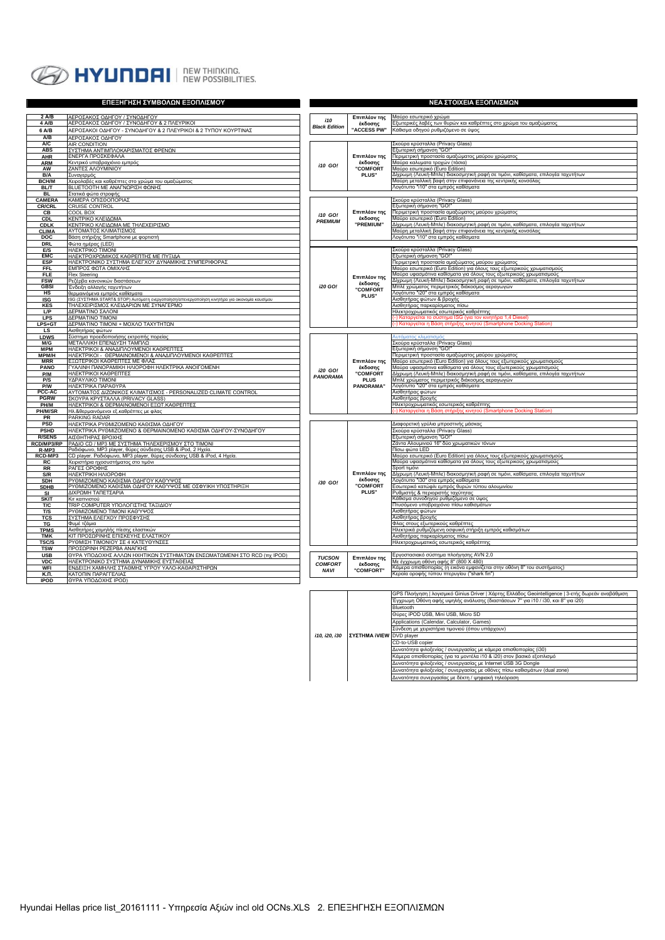

| ΕΠΕΞΗΓΗΣΗ ΣΥΜΒΟΛΩΝ ΕΞΟΠΛΙΣΜΟΥ         |                                                                                                                                     |                           | ΝΕΑ ΣΤΟΙΧΕΙΑ ΕΞΟΠΛΙΣΜΩΝ                    |                                                                                                                                              |  |  |
|---------------------------------------|-------------------------------------------------------------------------------------------------------------------------------------|---------------------------|--------------------------------------------|----------------------------------------------------------------------------------------------------------------------------------------------|--|--|
| 2 A/B<br>ΑΕΡΟΣΑΚΟΣ ΟΔΗΓΟΥ / ΣΥΝΟΔΗΓΟΥ |                                                                                                                                     |                           |                                            | Μαύρο εσωτερικό χρώμα                                                                                                                        |  |  |
| 4 A/B                                 | ΑΕΡΟΣΑΚΟΣ ΟΔΗΓΟΥ / ΣΥΝΟΔΗΓΟΥ & 2 ΠΛΕΥΡΙΚΟΙ                                                                                          | i10                       | Επιπλέον της<br>έκδοσης                    | Ξξωτερικές λαβές των θυρών και καθρέπτες στο χρώμα του αμαξώματος                                                                            |  |  |
| 6 A/B                                 | ΑΕΡΟΣΑΚΟΙ ΟΔΗΓΟΥ - ΣΥΝΟΔΗΓΟΥ & 2 ΠΛΕΥΡΙΚΟΙ & 2 ΤΥΠΟΥ ΚΟΥΡΤΙΝΑΣ                                                                      | <b>Black Edition</b>      | "ACCESS PW"                                | Κάθισμα οδηγού ρυθμιζόμενο σε ύψος                                                                                                           |  |  |
| A/B                                   | ΑΕΡΟΣΑΚΟΣ ΟΔΗΓΟΥ                                                                                                                    |                           |                                            |                                                                                                                                              |  |  |
| A/C                                   | AIR CONDITION                                                                                                                       |                           |                                            | Σκούρα κρύσταλλα (Privacy Glass)                                                                                                             |  |  |
| <b>ABS</b>                            | ΣΥΣΤΗΜΑ ΑΝΤΙΜΠΛΟΚΑΡΙΣΜΑΤΟΣ ΦΡΕΝΩΝ                                                                                                   |                           |                                            | Εξωτερική σήμανση "GO!                                                                                                                       |  |  |
| AHR                                   | ΕΝΕΡΓΑ ΠΡΟΣΚΕΦΑΛΑ                                                                                                                   |                           | Επιπλέον της                               | Περιμετρική προστασία αμαξώματος μαύρου χρώματος<br>Μαύρα καλυματα τροχών (τάσια)                                                            |  |  |
| <b>ARM</b><br>AW                      | Κεντρικό υποβραχιόνιο εμπρός<br>ΖΑΝΤΕΣ ΑΛΟΥΜΙΝΙΟΥ                                                                                   |                           | έκδοσης<br><b>"COMFORT</b><br>PLUS"        | Μαύρο εσωτερικό (Euro Edition)                                                                                                               |  |  |
| B/A                                   | Συναγερμός                                                                                                                          |                           |                                            | Δίχρωμη (Λευκή-Μπλε) διακοσμητική ραφή σε τιμόνι, καθίσματα, επιλογέα ταχυτήτων                                                              |  |  |
| <b>BCH/M</b>                          | Χειρολαβές και καθρέπτες στο χρώμα του αμαξώματος                                                                                   |                           |                                            | Μαύρη μεταλλική βαφή στην επιφανάνεια της κεντρικής κονσόλας                                                                                 |  |  |
| <b>BL/T</b>                           | ΒLUETOOTH ΜΕ ΑΝΑΓΝΩΡΙΣΗ ΦΩΝΗΣ                                                                                                       |                           |                                            | Λονότυπο "i10" στα εμπρός καθίσματα                                                                                                          |  |  |
| <b>BL</b>                             | Στατικά φώτα στροφής                                                                                                                |                           |                                            |                                                                                                                                              |  |  |
| CAMERA                                | ΚΑΜΕΡΑ ΟΠΙΣΘΟΠΟΡΙΑΣ                                                                                                                 |                           |                                            | Σκούρα κρύσταλλα (Privacy Glass)                                                                                                             |  |  |
| <b>CR/CRL</b><br>CВ                   | <b>CRUISE CONTROL</b><br>COOL BOX                                                                                                   | i10 GO!<br><b>PREMIUM</b> | Επιπλέον της<br>έκδοσης<br>"PREMIUM"       | Εξωτερική σήμανση "GO!"<br>Περιμετρική προστασία αμαξώματος μαύρου χρώματος                                                                  |  |  |
| <b>CDL</b>                            | ΚΕΝΤΡΙΚΟ ΚΛΕΙΔΩΜΑ                                                                                                                   |                           |                                            | Μαύρο εσωτερικό (Euro Edition)                                                                                                               |  |  |
| <b>CDLK</b>                           | ΚΕΝΤΡΙΚΟ ΚΛΕΙΔΩΜΑ ΜΕ ΤΗΛΕΧΕΙΡΙΣΜΟ                                                                                                   |                           |                                            | Δίχρωμη (Λευκή-Μπλε) διακοσμητική ραφή σε τιμόνι, καθίσματα, επιλογέα ταχυτήτων                                                              |  |  |
| <b>CLIMA</b>                          | ΑΥΤΟΜΑΤΟΣ ΚΛΙΜΑΤΙΣΜΟΣ                                                                                                               |                           |                                            | Μαύρη μεταλλική βαφή στην επιφανάνεια της κεντρικής κονσόλας                                                                                 |  |  |
| <b>DOC</b>                            | Βάση στήριξης Smartphone με φορτιστή                                                                                                |                           |                                            | Λογότυπο "i10" στα εμπρός καθίσματα                                                                                                          |  |  |
| <b>DRL</b><br>E/S                     | Φώτα ημέρας (LED)<br>HAEKTPIKO TIMONI                                                                                               |                           |                                            | Σκούρα κρύσταλλα (Privacy Glass)                                                                                                             |  |  |
| <b>EMC</b>                            | ΗΛΕΚΤΡΟΧΡΩΜΙΚΟΣ ΚΑΘΡΕΠΤΗΣ ΜΕ ΠΥΞΙΔΑ                                                                                                 |                           |                                            | Εξωτερική σήμανση "GO!"                                                                                                                      |  |  |
| <b>ESP</b>                            | ΗΛΕΚΤΡΟΝΙΚΟ ΣΥΣΤΗΜΑ ΕΛΕΓΧΟΥ ΔΥΝΑΜΙΚΗΣ ΣΥΜΠΕΡΙΦΟΡΑΣ                                                                                  |                           |                                            | Περιμετρική προστασία αμαξώματος μαύρου χρώματος                                                                                             |  |  |
| <b>FFL</b>                            | ΕΜΠΡΟΣ ΦΩΤΑ ΟΜΙΧΛΗΣ                                                                                                                 |                           |                                            | Μαύρο εσωτερικό (Euro Edition) για όλους τους εξωτερικούς χρωματισμούς                                                                       |  |  |
| <b>FLE</b>                            | Flex Steering                                                                                                                       |                           | Επιπλέον της                               | Μαύρα υφασμάτινα καθίσματα για όλους τους εξωτερικούς χρωματισμούς                                                                           |  |  |
| <b>FSW</b>                            | Ρεζέρβα κανονικών διαστάσεων                                                                                                        | i20 GO!                   | έκδοσης                                    | ∆ίχρωμη (Λευκή-Μπλε) διακοσμητική ραφή σε τιμόνι, καθίσματα, επιλογέα ταχυτήτων<br>Μπλέ χρώματος περιμετρικός διάκοσμος αεραγωγών            |  |  |
| <b>GBSI</b><br>HS                     | Ένδειξη αλλαγής ταχυτήτων<br>θερμαινόμενα εμπρός καθίσματα                                                                          |                           | <b>COMFORT</b>                             | \ογότυπο "ί20" στα εμπρός καθίσματα                                                                                                          |  |  |
| <b>ISG</b>                            | ISG (ΣΥΣΤΗΜΑ START& STOP) Αυτόματη ενεργοποίηση/απενεργοποίηση κινητήρα για οικονομία καυσίμου                                      |                           | PLUS"                                      | Αισθητήρας φώτων & βροχής                                                                                                                    |  |  |
| <b>KES</b>                            | ΤΗΛΕΧΕΙΡΙΣΜΟΣ ΚΛΕΙΔΑΡΙΩΝ ΜΕ ΣΥΝΑΓΕΡΜΟ                                                                                               |                           |                                            | Αισθητήρας παρκαρίσματος πίσω                                                                                                                |  |  |
| LP                                    | ΔΕΡΜΑΤΙΝΟ ΣΑΛΟΝΙ                                                                                                                    |                           |                                            | Ηλεκτροχρωματικός εσωτερικός καθρέπτης                                                                                                       |  |  |
| <b>LPS</b>                            | ΔΕΡΜΑΤΙΝΟ ΤΙΜΟΝΙ                                                                                                                    |                           |                                            | -) Καταργείται το σύστημα ISG (για τον κινητήρα 1,4 Diesel]                                                                                  |  |  |
| LPS+GT<br>LS                          | ΔΕΡΜΑΤΙΝΟ ΤΙΜΟΝΙ + ΜΟΧΛΟ ΤΑΧΥΤΗΤΩΝ<br>Αισθητήρας φώτων                                                                              |                           |                                            | Καταργείται η Βάση στήριξης κινητού (Smartphone Docking                                                                                      |  |  |
| <b>LDWS</b>                           | Σύστημα προειδοποιήσης εκτροπής πορείας                                                                                             |                           |                                            | ιτόματος κλιματισμό                                                                                                                          |  |  |
| M/G                                   | ΜΕΤΑΛΛΙΚΗ ΕΠΕΝΔΥΣΗ ΤΑΜΠΛΩ                                                                                                           |                           |                                            | Σκούρα κρύσταλλα (Privacy Glass)                                                                                                             |  |  |
| <b>MPM</b>                            | ΗΛΕΚΤΡΙΚΟΙ & ΑΝΑΔΙΠΛΟΥΜΕΝΟΙ ΚΑΘΡΕΠΤΕΣ                                                                                               |                           |                                            | Ξξωτερική σήμανση "GO!"                                                                                                                      |  |  |
| MPM/H                                 | ΗΛΕΚΤΡΙΚΟΙ - ΘΕΡΜΑΙΝΟΜΕΝΟΙ & ΑΝΑΔΙΠΛΟΥΜΕΝΟΙ ΚΑΘΡΕΠΤΕΣ                                                                               |                           |                                            | Τεριμετρική προστασία αμαξώματος μαύρου χρώματος                                                                                             |  |  |
| <b>MRR</b><br>PANO                    | ΕΞΩΤΕΡΙΚΟΙ ΚΑΘΡΕΠΤΕΣ ΜΕ ΦΛΑΣ<br>ΓΥΑΛΙΝΗ ΠΑΝΟΡΑΜΙΚΗ ΗΛΙΟΡΟΦΗ ΗΛΕΚΤΡΙΚΑ ΑΝΟΙΓΟΜΕΝΗ                                                    |                           | Επιπλέον της<br>έκδοσης<br><b>"COMFORT</b> | Μαύρο εσωτερικό (Euro Edition) για όλους τους εξωτερικούς χρωματισμούς<br>Μαύρα υφασμάτινα καθίσματα για όλους τους εξωτερικούς χρωματισμούς |  |  |
| P/M                                   | ΗΛΕΚΤΡΙΚΟΙ ΚΑΘΡΕΠΤΕΣ                                                                                                                |                           |                                            | Δίχρωμη (Λευκή-Μπλε) διακοσμητική ραφή σε τιμόνι, καθίσματα, επιλογέα ταχυτήτων                                                              |  |  |
| P/S                                   | ΥΔΡΑΥΛΙΚΟ ΤΙΜΟΝΙ                                                                                                                    |                           | <b>PLUS</b>                                | Μπλέ χρώματος περιμετρικός διάκοσμος αεραγωγών                                                                                               |  |  |
| P/W                                   | ΗΛΕΚΤΡΙΚΑ ΠΑΡΑΘΥΡΑ                                                                                                                  |                           | <b>PANORAMA</b> "                          | Λογότυπο "ί20" στα εμπρός καθίσματα                                                                                                          |  |  |
| PCC-AC<br><b>PGRW</b>                 | ΑΥΤΟΜΑΤΟΣ ΔΙΖΩΝΙΚΟΣ ΚΛΙΜΑΤΙΣΜΟΣ - PERSONALIZED CLIMATE CONTROL                                                                      |                           |                                            | Αισθητήρας φώτων                                                                                                                             |  |  |
| PH/M                                  | ΣΚΟΥΡΑ ΚΡΥΣΤΑΛΛΑ (PRIVACY GLASS)<br>ΗΛΕΚΤΡΙΚΟΙ & ΘΕΡΜΑΙΝΟΜΕΝΟΙ ΕΞΩΤ.ΚΑΘΡΕΠΤΕΣ                                                       |                           |                                            | Αισθητήρας βροχής<br>Ηλεκτροχρωματικός εσωτερικός καθρέπτης                                                                                  |  |  |
| PH/M/SR                               | Ηλ.&θερμαινόμενοι εξ.καθρέπτες με φλας                                                                                              |                           |                                            | -) Καταργείται η Βάση στήριξης κινητού (Smartphone Docking Station)                                                                          |  |  |
| PR                                    | PARKING RADAR                                                                                                                       |                           |                                            |                                                                                                                                              |  |  |
| <b>PSD</b>                            | ΗΛΕΚΤΡΙΚΑ ΡΥΘΜΙΖΟΜΕΝΟ ΚΑΘΙΣΜΑ ΟΔΗΓΟΥ                                                                                                |                           |                                            | Διαφορετική γρύλια μπροστινής μάσκας                                                                                                         |  |  |
| <b>PSHD</b>                           | ΗΛΕΚΤΡΙΚΑ ΡΥΘΜΙΖΟΜΕΝΟ & ΘΕΡΜΑΙΝΟΜΕΝΟ ΚΑΘΙΣΜΑ ΟΔΗΓΟΥ-ΣΥΝΟΔΗΓΟΥ                                                                       |                           |                                            | Σκούρα κρύσταλλα (Privacy Glass)                                                                                                             |  |  |
| <b>R/SENS</b>                         | ΑΙΣΘΗΤΗΡΑΣ ΒΡΟΧΗΣ                                                                                                                   |                           |                                            | Εξωτερική σήμανση "GO!"                                                                                                                      |  |  |
| RCD/MP3/RP<br>R-MP3                   | ΡΑΔΙΟ CD / ΜΡ3 ΜΕ ΣΥΣΤΗΜΑ ΤΗΛΕΧΕΡΙΣΜΟΥ ΣΤΟ ΤΙΜΟΝΙ                                                                                   |                           |                                            | Ζάντα Αλουμινιού 16" δύο χρωματικών τόνων<br>Πίσω φώτα LED                                                                                   |  |  |
| RCD-MP3                               | Ραδιόφωνο, MP3 player, θύρες σύνδεσης USB & iPod, 2 Ηχεία.<br>CD player. Ραδιόφωνο, MP3 player, θύρες σύνδεσης USB & iPod, 4 Ηχεία. |                           |                                            | Μαύρο εσωτερικό (Euro Edition) για όλους τους εξωτερικούς χρωματισμούς                                                                       |  |  |
| <b>RC</b>                             | Χειριστήρια ηχοσυστήματος στο τιμόνι                                                                                                |                           |                                            | Μαύρα υφασμάτινα καθίσματα για όλους τους εξωτερικούς χρωματισμούς                                                                           |  |  |
| RR                                    | ΡΑΓΕΣ ΟΡΟΦΗΣ                                                                                                                        |                           |                                            | Sport τιμόνι                                                                                                                                 |  |  |
|                                       | S/R<br>ΗΛΕΚΤΡΙΚΗ ΗΛΙΟΡΟΦΗ                                                                                                           |                           | Επιπλέον της<br>έκδοσης<br><b>COMFORT</b>  | Δίχρωμη (Λευκή-Μπλε) διακοσμητική ραφή σε τιμόνι, καθίσματα, επιλογέα ταχυτήτων<br>Λογότυπο "ί30" στα εμπρός καθίσματα                       |  |  |
| <b>SDHB</b>                           | ΡΥΘΜΙΖΟΜΕΝΟ ΚΑΘΙΣΜΑ ΟΔΗΓΟΥ ΚΑΘΎΨΟΣ<br>ΡΥΘΜΙΖΟΜΕΝΟ ΚΑΘΙΣΜΑ ΟΔΗΓΟΥ ΚΑΘΎΨΟΣ ΜΕ ΟΣΦΥΙΚΗ ΥΠΟΣΤΗΡΙΞΗ<br><b>SDH</b>                        |                           |                                            | Εσωτερικό κατώφλι εμπρός θυρών τύπου αλουμινίου                                                                                              |  |  |
| SI                                    | ΔΙΧΡΩΜΗ ΤΑΠΕΤΣΑΡΙΑ                                                                                                                  |                           | PLUS"                                      | <sup>ο</sup> υθμιστής & περιοριστής ταχύτητας                                                                                                |  |  |
| <b>SKIT</b>                           | Κιτ καπνιστού                                                                                                                       |                           |                                            | ζάθισμα συνοδηγού ρυθμιζόμενο σε ύψος                                                                                                        |  |  |
| T/C                                   | ΤRIP COMPUTER ΥΠΟΛΟΓΙΣΤΗΣ ΤΑΞΙΔΙΟΥ                                                                                                  |                           |                                            | Ττυσόμενο υποβραχιόνιο πίσω καθισμάτων                                                                                                       |  |  |
|                                       | ΡΥΘΜΙΖΟΜΕΝΟ ΤΙΜΟΝΙ ΚΑΘΎΨΟΣ<br>T/S                                                                                                   |                           |                                            | Αισθητήρας φώτων                                                                                                                             |  |  |
|                                       | ΣΥΣΤΗΜΑ ΕΛΕΓΧΟΥ ΠΡΟΣΦΥΣΗΣ<br><b>TCS</b><br>TG<br>Φυμέ τζάμια                                                                        |                           |                                            | Αισθητήρας βροχής<br>Φλας στους εξωτερικούς καθρέπτες                                                                                        |  |  |
|                                       | Αισθητήρες χαμηλής πίεσης ελαστικών<br><b>TPMS</b>                                                                                  |                           |                                            | Ηλεκτρικά ρυθμιζόμενη οσφυική στήριξη εμπρός καθισμάτων                                                                                      |  |  |
| TMK                                   | ΚΙΤ ΠΡΟΣΩΡΙΝΗΣ ΕΠΙΣΚΕΥΗΣ ΕΛΑΣΤΙΚΟΥ                                                                                                  |                           |                                            | Αισθητήρας παρκαρίσματος πίσω                                                                                                                |  |  |
| TSC/S                                 | ΡΥΘΜΙΣΗ ΤΙΜΟΝΙΟΥ ΣΕ 4 ΚΑΤΕΥΘΥΝΣΕΣ                                                                                                   |                           |                                            | Ηλεκτροχρωματικός εσωτερικός καθρέπτης                                                                                                       |  |  |
| <b>TSW</b>                            | ΠΡΟΣΩΡΙΝΗ ΡΕΖΕΡΒΑ ΑΝΑΓΚΗΣ                                                                                                           |                           |                                            |                                                                                                                                              |  |  |
| <b>USB</b>                            | ΘΥΡΑ ΥΠΟΔΟΧΗΣ ΑΛΛΩΝ ΗΧΗΤΙΚΩΝ ΣΥΣΤΗΜΑΤΩΝ ΕΝΣΩΜΑΤΩΜΕΝΗ ΣΤΟ RCD (πχ IPOD)                                                              | <b>TUCSON</b>             | Επιπλέον της                               | Εργοστασιακό σύστημα πλοήγησης AVN 2,0                                                                                                       |  |  |
| <b>VDC</b>                            | ΗΛΕΚΤΡΟΝΙΚΟ ΣΥΣΤΗΜΑ ΔΥΝΑΜΙΚΗΣ ΕΥΣΤΑΘΕΙΑΣ                                                                                            |                           | έκδοσης                                    | .<br>Με έγχρωμη οθόνη αφής 8" (800 Χ 480)<br>Κάμερα οπισθοπορίας (η εικόνα εμφανίζεται στην οθόνη 8" του συστήματος)                         |  |  |
| <b>WFI</b><br>К.П.                    | ΕΝΔΕΙΞΗ ΧΑΜΗΛΗΣ ΣΤΑΘΜΗΣ ΥΓΡΟΥ ΥΑΛΟ-ΚΑΘΑΡΙΣΤΗΡΩΝ<br>ΚΑΤΟΠΙΝ ΠΑΡΑΓΓΕΛΙΑΣ                                                              |                           | "COMFORT"                                  | Κεραία οροφής τύπου πτερυγίου ("shark fin")                                                                                                  |  |  |
| <b>IPOD</b>                           | <b>ΘΥΡΑ ΥΠΟΔΟΧΗΣ ΙΡΟD)</b>                                                                                                          |                           |                                            |                                                                                                                                              |  |  |
|                                       |                                                                                                                                     |                           |                                            |                                                                                                                                              |  |  |

|  | Έγχρωμη Οθόνη αφής υψηλής ανάλυσης (διαστάσεων 7" για i10 / i30, και 8" για i20) |
|--|----------------------------------------------------------------------------------|
|  | Bluetooth                                                                        |
|  | Θύρες iPOD USB, Mini USB, Micro SD                                               |
|  | Applications (Calendar, Calculator, Games)                                       |
|  | Σύνδεση με χειριστήρια τιμονιού (όπου υπάρχουν)                                  |
|  |                                                                                  |
|  | CD-to-USB copier                                                                 |
|  | Δυνατότητα φιλοξενίας / συνεργασίας με κάμερα οπισθοπορίας (i30)                 |
|  | Κάμερα οπισθοπορίας (για τα μοντέλα i10 & i20) στον βασικό εξοπλισμό             |
|  | Δυνατότητα φιλοξενίας / συνεργασίας με Internet USB 3G Dongle                    |
|  | Δυνατότητα φιλοξενίας / συνεργασίας με οθόνες πίσω καθισμάτων (dual zone)        |
|  | Δυνατότητα συνεργασίας με δέκτη / ψηφιακή τηλεόραση                              |
|  | <b>ΣΥΣΤΗΜΑ iVIEW</b> DVD player                                                  |